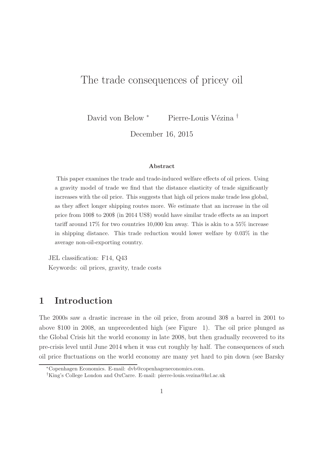# The trade consequences of pricey oil

David von Below <sup>∗</sup> Pierre-Louis Vézina †

December 16, 2015

#### Abstract

This paper examines the trade and trade-induced welfare effects of oil prices. Using a gravity model of trade we find that the distance elasticity of trade significantly increases with the oil price. This suggests that high oil prices make trade less global, as they affect longer shipping routes more. We estimate that an increase in the oil price from 100\$ to 200\$ (in 2014 US\$) would have similar trade effects as an import tariff around 17% for two countries 10,000 km away. This is akin to a 55% increase in shipping distance. This trade reduction would lower welfare by 0.03% in the average non-oil-exporting country.

JEL classification: F14, Q43 Keywords: oil prices, gravity, trade costs

## 1 Introduction

The 2000s saw a drastic increase in the oil price, from around 30\$ a barrel in 2001 to above \$100 in 2008, an unprecedented high (see Figure 1). The oil price plunged as the Global Crisis hit the world economy in late 2008, but then gradually recovered to its pre-crisis level until June 2014 when it was cut roughly by half. The consequences of such oil price fluctuations on the world economy are many yet hard to pin down (see Barsky

<sup>∗</sup>Copenhagen Economics. E-mail: dvb@copenhageneconomics.com.

<sup>†</sup>King's College London and OxCarre. E-mail: pierre-louis.vezina@kcl.ac.uk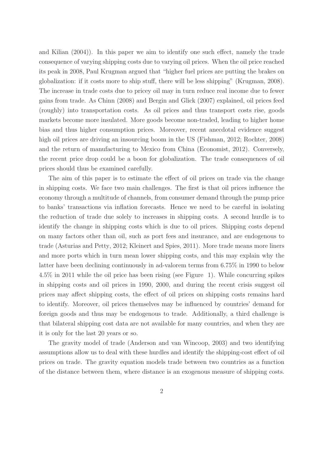and Kilian (2004)). In this paper we aim to identify one such effect, namely the trade consequence of varying shipping costs due to varying oil prices. When the oil price reached its peak in 2008, Paul Krugman argued that "higher fuel prices are putting the brakes on globalization: if it costs more to ship stuff, there will be less shipping" (Krugman, 2008). The increase in trade costs due to pricey oil may in turn reduce real income due to fewer gains from trade. As Chinn (2008) and Bergin and Glick (2007) explained, oil prices feed (roughly) into transportation costs. As oil prices and thus transport costs rise, goods markets become more insulated. More goods become non-traded, leading to higher home bias and thus higher consumption prices. Moreover, recent anecdotal evidence suggest high oil prices are driving an insourcing boom in the US (Fishman, 2012; Rochter, 2008) and the return of manufacturing to Mexico from China (Economist, 2012). Conversely, the recent price drop could be a boon for globalization. The trade consequences of oil prices should thus be examined carefully.

The aim of this paper is to estimate the effect of oil prices on trade via the change in shipping costs. We face two main challenges. The first is that oil prices influence the economy through a multitude of channels, from consumer demand through the pump price to banks' transactions via inflation forecasts. Hence we need to be careful in isolating the reduction of trade due solely to increases in shipping costs. A second hurdle is to identify the change in shipping costs which is due to oil prices. Shipping costs depend on many factors other than oil, such as port fees and insurance, and are endogenous to trade (Asturias and Petty, 2012; Kleinert and Spies, 2011). More trade means more liners and more ports which in turn mean lower shipping costs, and this may explain why the latter have been declining continuously in ad-valorem terms from 6.75% in 1990 to below 4.5% in 2011 while the oil price has been rising (see Figure 1). While concurring spikes in shipping costs and oil prices in 1990, 2000, and during the recent crisis suggest oil prices may affect shipping costs, the effect of oil prices on shipping costs remains hard to identify. Moreover, oil prices themselves may be influenced by countries' demand for foreign goods and thus may be endogenous to trade. Additionally, a third challenge is that bilateral shipping cost data are not available for many countries, and when they are it is only for the last 20 years or so.

The gravity model of trade (Anderson and van Wincoop, 2003) and two identifying assumptions allow us to deal with these hurdles and identify the shipping-cost effect of oil prices on trade. The gravity equation models trade between two countries as a function of the distance between them, where distance is an exogenous measure of shipping costs.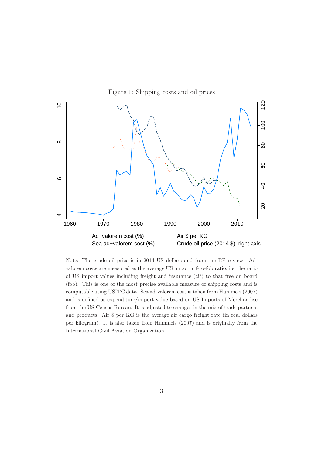

Note: The crude oil price is in 2014 US dollars and from the BP review. Advalorem costs are measured as the average US import cif-to-fob ratio, i.e. the ratio of US import values including freight and insurance (cif) to that free on board (fob). This is one of the most precise available measure of shipping costs and is computable using USITC data. Sea ad-valorem cost is taken from Hummels (2007) and is defined as expenditure/import value based on US Imports of Merchandise from the US Census Bureau. It is adjusted to changes in the mix of trade partners and products. Air \$ per KG is the average air cargo freight rate (in real dollars per kilogram). It is also taken from Hummels (2007) and is originally from the International Civil Aviation Organization.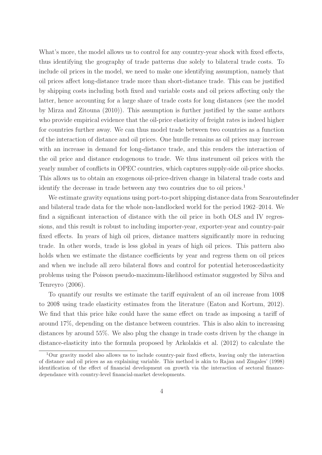What's more, the model allows us to control for any country-year shock with fixed effects, thus identifying the geography of trade patterns due solely to bilateral trade costs. To include oil prices in the model, we need to make one identifying assumption, namely that oil prices affect long-distance trade more than short-distance trade. This can be justified by shipping costs including both fixed and variable costs and oil prices affecting only the latter, hence accounting for a large share of trade costs for long distances (see the model by Mirza and Zitouna (2010)). This assumption is further justified by the same authors who provide empirical evidence that the oil-price elasticity of freight rates is indeed higher for countries further away. We can thus model trade between two countries as a function of the interaction of distance and oil prices. One hurdle remains as oil prices may increase with an increase in demand for long-distance trade, and this renders the interaction of the oil price and distance endogenous to trade. We thus instrument oil prices with the yearly number of conflicts in OPEC countries, which captures supply-side oil-price shocks. This allows us to obtain an exogenous oil-price-driven change in bilateral trade costs and identify the decrease in trade between any two countries due to oil prices.<sup>1</sup>

We estimate gravity equations using port-to-port shipping distance data from Searoutefinder and bilateral trade data for the whole non-landlocked world for the period 1962–2014. We find a significant interaction of distance with the oil price in both OLS and IV regressions, and this result is robust to including importer-year, exporter-year and country-pair fixed effects. In years of high oil prices, distance matters significantly more in reducing trade. In other words, trade is less global in years of high oil prices. This pattern also holds when we estimate the distance coefficients by year and regress them on oil prices and when we include all zero bilateral flows and control for potential heteroscedasticity problems using the Poisson pseudo-maximum-likelihood estimator suggested by Silva and Tenreyro (2006).

To quantify our results we estimate the tariff equivalent of an oil increase from 100\$ to 200\$ using trade elasticity estimates from the literature (Eaton and Kortum, 2012). We find that this price hike could have the same effect on trade as imposing a tariff of around 17%, depending on the distance between countries. This is also akin to increasing distances by around 55%. We also plug the change in trade costs driven by the change in distance-elasticity into the formula proposed by Arkolakis et al. (2012) to calculate the

<sup>1</sup>Our gravity model also allows us to include country-pair fixed effects, leaving only the interaction of distance and oil prices as an explaining variable. This method is akin to Rajan and Zingales' (1998) identification of the effect of financial development on growth via the interaction of sectoral financedependance with country-level financial-market developments.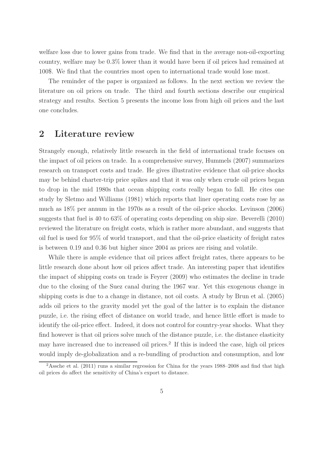welfare loss due to lower gains from trade. We find that in the average non-oil-exporting country, welfare may be 0.3% lower than it would have been if oil prices had remained at 100\$. We find that the countries most open to international trade would lose most.

The reminder of the paper is organized as follows. In the next section we review the literature on oil prices on trade. The third and fourth sections describe our empirical strategy and results. Section 5 presents the income loss from high oil prices and the last one concludes.

#### 2 Literature review

Strangely enough, relatively little research in the field of international trade focuses on the impact of oil prices on trade. In a comprehensive survey, Hummels (2007) summarizes research on transport costs and trade. He gives illustrative evidence that oil-price shocks may be behind charter-trip price spikes and that it was only when crude oil prices began to drop in the mid 1980s that ocean shipping costs really began to fall. He cites one study by Sletmo and Williams (1981) which reports that liner operating costs rose by as much as 18% per annum in the 1970s as a result of the oil-price shocks. Levinson (2006) suggests that fuel is 40 to 63% of operating costs depending on ship size. Beverelli (2010) reviewed the literature on freight costs, which is rather more abundant, and suggests that oil fuel is used for 95% of world transport, and that the oil-price elasticity of freight rates is between 0.19 and 0.36 but higher since 2004 as prices are rising and volatile.

While there is ample evidence that oil prices affect freight rates, there appears to be little research done about how oil prices affect trade. An interesting paper that identifies the impact of shipping costs on trade is Feyrer (2009) who estimates the decline in trade due to the closing of the Suez canal during the 1967 war. Yet this exogenous change in shipping costs is due to a change in distance, not oil costs. A study by Brun et al. (2005) adds oil prices to the gravity model yet the goal of the latter is to explain the distance puzzle, i.e. the rising effect of distance on world trade, and hence little effort is made to identify the oil-price effect. Indeed, it does not control for country-year shocks. What they find however is that oil prices solve much of the distance puzzle, i.e. the distance elasticity may have increased due to increased oil prices.<sup>2</sup> If this is indeed the case, high oil prices would imply de-globalization and a re-bundling of production and consumption, and low

<sup>&</sup>lt;sup>2</sup>Assche et al. (2011) runs a similar regression for China for the years 1988–2008 and find that high oil prices do affect the sensitivity of China's export to distance.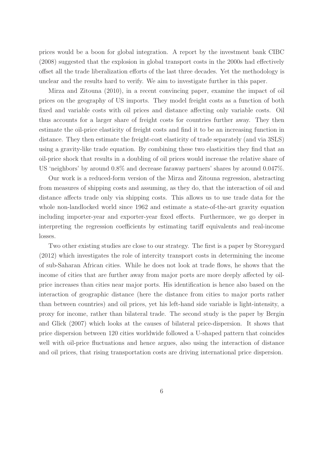prices would be a boon for global integration. A report by the investment bank CIBC (2008) suggested that the explosion in global transport costs in the 2000s had effectively offset all the trade liberalization efforts of the last three decades. Yet the methodology is unclear and the results hard to verify. We aim to investigate further in this paper.

Mirza and Zitouna (2010), in a recent convincing paper, examine the impact of oil prices on the geography of US imports. They model freight costs as a function of both fixed and variable costs with oil prices and distance affecting only variable costs. Oil thus accounts for a larger share of freight costs for countries further away. They then estimate the oil-price elasticity of freight costs and find it to be an increasing function in distance. They then estimate the freight-cost elasticity of trade separately (and via 3SLS) using a gravity-like trade equation. By combining these two elasticities they find that an oil-price shock that results in a doubling of oil prices would increase the relative share of US 'neighbors' by around 0.8% and decrease faraway partners' shares by around 0.047%.

Our work is a reduced-form version of the Mirza and Zitouna regression, abstracting from measures of shipping costs and assuming, as they do, that the interaction of oil and distance affects trade only via shipping costs. This allows us to use trade data for the whole non-landlocked world since 1962 and estimate a state-of-the-art gravity equation including importer-year and exporter-year fixed effects. Furthermore, we go deeper in interpreting the regression coefficients by estimating tariff equivalents and real-income losses.

Two other existing studies are close to our strategy. The first is a paper by Storeygard (2012) which investigates the role of intercity transport costs in determining the income of sub-Saharan African cities. While he does not look at trade flows, he shows that the income of cities that are further away from major ports are more deeply affected by oilprice increases than cities near major ports. His identification is hence also based on the interaction of geographic distance (here the distance from cities to major ports rather than between countries) and oil prices, yet his left-hand side variable is light-intensity, a proxy for income, rather than bilateral trade. The second study is the paper by Bergin and Glick (2007) which looks at the causes of bilateral price-dispersion. It shows that price dispersion between 120 cities worldwide followed a U-shaped pattern that coincides well with oil-price fluctuations and hence argues, also using the interaction of distance and oil prices, that rising transportation costs are driving international price dispersion.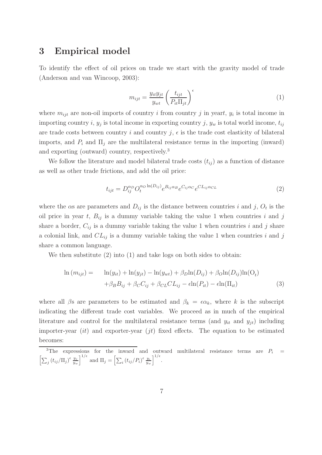#### 3 Empirical model

To identify the effect of oil prices on trade we start with the gravity model of trade (Anderson and van Wincoop, 2003):

$$
m_{ijt} = \frac{y_{it}y_{jt}}{y_{wt}} \left(\frac{t_{ijt}}{P_{it}\Pi_{jt}}\right)^{\epsilon}
$$
\n(1)

where  $m_{ijt}$  are non-oil imports of country i from country j in yeart,  $y_i$  is total income in importing country i,  $y_j$  is total income in exporting country j,  $y_w$  is total world income,  $t_{ij}$ are trade costs between country i and country j,  $\epsilon$  is the trade cost elasticity of bilateral imports, and  $P_i$  and  $\Pi_j$  are the multilateral resistance terms in the importing (inward) and exporting (outward) country, respectively.<sup>3</sup>

We follow the literature and model bilateral trade costs  $(t_{ij})$  as a function of distance as well as other trade frictions, and add the oil price:

$$
t_{ijt} = D_{ij}^{\alpha_D} O_t^{\alpha_D \ln(D_{ij})} e^{B_{ij\alpha_B}} e^{C_{ij\alpha_C}} e^{CL_{ij\alpha_{CL}}}
$$
\n
$$
\tag{2}
$$

where the  $\alpha s$  are parameters and  $D_{ij}$  is the distance between countries i and j,  $O_t$  is the oil price in year t,  $B_{ij}$  is a dummy variable taking the value 1 when countries i and j share a border,  $C_{ij}$  is a dummy variable taking the value 1 when countries i and j share a colonial link, and  $CL_{ij}$  is a dummy variable taking the value 1 when countries i and j share a common language.

We then substitute (2) into (1) and take logs on both sides to obtain:

$$
\ln(m_{ijt}) = \ln(y_{it}) + \ln(y_{jt}) - \ln(y_{wt}) + \beta_D \ln(D_{ij}) + \beta_O \ln(D_{ij}) \ln(O_t)
$$
  
+  $\beta_B B_{ij} + \beta_C C_{ij} + \beta_{CL} CL_{ij} - \epsilon \ln(P_{it}) - \epsilon \ln(\Pi_{it})$  (3)

where all  $\beta$ s are parameters to be estimated and  $\beta_k = \epsilon \alpha_k$ , where k is the subscript indicating the different trade cost variables. We proceed as in much of the empirical literature and control for the multilateral resistance terms (and  $y_{it}$  and  $y_{jt}$ ) including importer-year  $(it)$  and exporter-year  $(jt)$  fixed effects. The equation to be estimated becomes:

<sup>&</sup>lt;sup>3</sup>The expressions for the inward and outward multilateral resistance terms are  $P_i$  =  $\left[\sum_j (t_{ij}/\Pi_j)^{\epsilon} \frac{y_j}{y_u}\right]$  $y_w$  $\prod^{1/\epsilon}$  and  $\Pi_j = \left[\sum_i (t_{ij}/P_i)^{\epsilon} \frac{y_i}{y_w}\right]$  $\big]^{1/\epsilon}$ .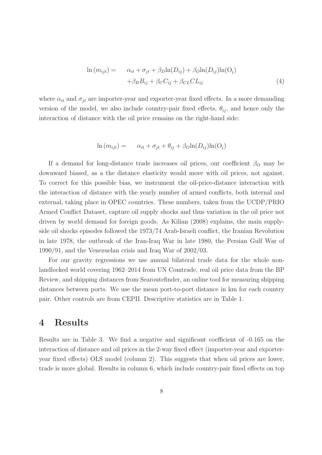$$
\ln (m_{ijt}) = \alpha_{it} + \sigma_{jt} + \beta_D \ln(D_{ij}) + \beta_O \ln(D_{ij}) \ln(O_t)
$$
  
+  $\beta_B B_{ij} + \beta_C C_{ij} + \beta_{CL} CL_{ij}$  (4)

where  $\alpha_{it}$  and  $\sigma_{jt}$  are importer-year and exporter-year fixed effects. In a more demanding version of the model, we also include country-pair fixed effects,  $\theta_{ij}$ , and hence only the interaction of distance with the oil price remains on the right-hand side:

$$
\ln(m_{ijt}) = \alpha_{it} + \sigma_{jt} + \theta_{ij} + \beta_O \ln(D_{ij}) \ln(Q_t)
$$

If a demand for long-distance trade increases oil prices, our coefficient  $\beta_0$  may be downward biased, as a the distance elasticity would move with oil prices, not against. To correct for this possible bias, we instrument the oil-price-distance interaction with the interaction of distance with the yearly number of armed conflicts, both internal and external, taking place in OPEC countries. These numbers, taken from the UCDP/PRIO Armed Conflict Dataset, capture oil supply shocks and thus variation in the oil price not driven by world demand for foreign goods. As Kilian (2008) explains, the main supplyside oil shocks episodes followed the 1973/74 Arab-Israeli conflict, the Iranian Revolution in late 1978, the outbreak of the Iran-Iraq War in late 1980, the Persian Gulf War of 1990/91, and the Venezuelan crisis and Iraq War of 2002/03.

For our gravity regressions we use annual bilateral trade data for the whole nonlandlocked world covering 1962–2014 from UN Comtrade, real oil price data from the BP Review, and shipping distances from Searoutefinder, an online tool for measuring shipping distances between ports. We use the mean port-to-port distance in km for each country pair. Other controls are from CEPII. Descriptive statistics are in Table 1.

#### 4 Results

Results are in Table 3. We find a negative and significant coefficient of -0.165 on the interaction of distance and oil prices in the 2-way fixed effect (importer-year and exporteryear fixed effects) OLS model (column 2). This suggests that when oil prices are lower, trade is more global. Results in column 6, which include country-pair fixed effects on top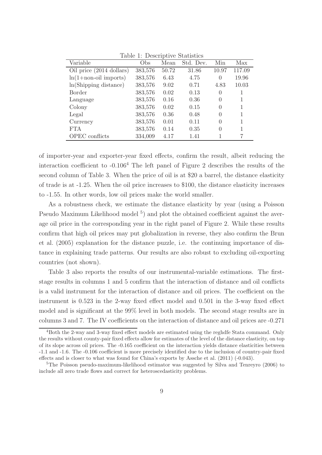| $\pm 0.010$ $\pm 0.000$  |         |       |           |          |        |  |  |  |  |  |
|--------------------------|---------|-------|-----------|----------|--------|--|--|--|--|--|
| Variable                 | Obs     | Mean  | Std. Dev. | Min      | Max    |  |  |  |  |  |
| Oil price (2014 dollars) | 383,576 | 50.72 | 31.86     | 10.97    | 117.09 |  |  |  |  |  |
| $ln(1+non-oil$ imports)  | 383,576 | 6.43  | 4.75      | $\theta$ | 19.96  |  |  |  |  |  |
| ln(Shipping distance)    | 383,576 | 9.02  | 0.71      | 4.83     | 10.03  |  |  |  |  |  |
| Border                   | 383,576 | 0.02  | 0.13      | $\Omega$ |        |  |  |  |  |  |
| Language                 | 383,576 | 0.16  | 0.36      | $\Omega$ |        |  |  |  |  |  |
| Colony                   | 383,576 | 0.02  | 0.15      | $\Omega$ |        |  |  |  |  |  |
| Legal                    | 383,576 | 0.36  | 0.48      | $\theta$ |        |  |  |  |  |  |
| Currency                 | 383,576 | 0.01  | 0.11      | $\Omega$ |        |  |  |  |  |  |
| <b>FTA</b>               | 383,576 | 0.14  | 0.35      | $\theta$ |        |  |  |  |  |  |
| <b>OPEC</b> conflicts    | 334,009 | 4.17  | 1.41      |          |        |  |  |  |  |  |

Table 1: Descriptive Statistics

of importer-year and exporter-year fixed effects, confirm the result, albeit reducing the interaction coefficient to -0.106<sup>4</sup> The left panel of Figure 2 describes the results of the second column of Table 3. When the price of oil is at \$20 a barrel, the distance elasticity of trade is at -1.25. When the oil price increases to \$100, the distance elasticity increases to -1.55. In other words, low oil prices make the world smaller.

As a robustness check, we estimate the distance elasticity by year (using a Poisson Pseudo Maximum Likelihood model<sup>5</sup>) and plot the obtained coefficient against the average oil price in the corresponding year in the right panel of Figure 2. While these results confirm that high oil prices may put globalization in reverse, they also confirm the Brun et al. (2005) explanation for the distance puzzle, i.e. the continuing importance of distance in explaining trade patterns. Our results are also robust to excluding oil-exporting countries (not shown).

Table 3 also reports the results of our instrumental-variable estimations. The firststage results in columns 1 and 5 confirm that the interaction of distance and oil conflicts is a valid instrument for the interaction of distance and oil prices. The coefficient on the instrument is 0.523 in the 2-way fixed effect model and 0.501 in the 3-way fixed effect model and is significant at the 99% level in both models. The second stage results are in columns 3 and 7. The IV coefficients on the interaction of distance and oil prices are -0.271

<sup>4</sup>Both the 2-way and 3-way fixed effect models are estimated using the reghdfe Stata command. Only the results without county-pair fixed effects allow for estimates of the level of the distance elasticity, on top of its slope across oil prices. The -0.165 coefficient on the interaction yields distance elasticities between -1.1 and -1.6. The -0.106 coefficient is more precisely identified due to the inclusion of country-pair fixed effects and is closer to what was found for China's exports by Assche et al. (2011) (-0.043).

<sup>&</sup>lt;sup>5</sup>The Poisson pseudo-maximum-likelihood estimator was suggested by Silva and Tenreyro (2006) to include all zero trade flows and correct for heteroscedasticity problems.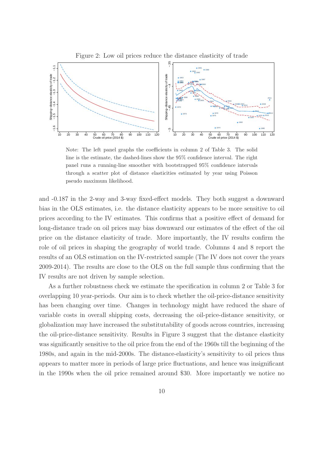



Note: The left panel graphs the coefficients in column 2 of Table 3. The solid line is the estimate, the dashed-lines show the 95% confidence interval. The right panel runs a running-line smoother with bootstrapped 95% confidence intervals through a scatter plot of distance elasticities estimated by year using Poisson pseudo maximum likelihood.

and -0.187 in the 2-way and 3-way fixed-effect models. They both suggest a downward bias in the OLS estimates, i.e. the distance elasticity appears to be more sensitive to oil prices according to the IV estimates. This confirms that a positive effect of demand for long-distance trade on oil prices may bias downward our estimates of the effect of the oil price on the distance elasticity of trade. More importantly, the IV results confirm the role of oil prices in shaping the geography of world trade. Columns 4 and 8 report the results of an OLS estimation on the IV-restricted sample (The IV does not cover the years 2009-2014). The results are close to the OLS on the full sample thus confirming that the IV results are not driven by sample selection.

As a further robustness check we estimate the specification in column 2 or Table 3 for overlapping 10 year-periods. Our aim is to check whether the oil-price-distance sensitivity has been changing over time. Changes in technology might have reduced the share of variable costs in overall shipping costs, decreasing the oil-price-distance sensitivity, or globalization may have increased the substitutability of goods across countries, increasing the oil-price-distance sensitivity. Results in Figure 3 suggest that the distance elasticity was significantly sensitive to the oil price from the end of the 1960s till the beginning of the 1980s, and again in the mid-2000s. The distance-elasticity's sensitivity to oil prices thus appears to matter more in periods of large price fluctuations, and hence was insignificant in the 1990s when the oil price remained around \$30. More importantly we notice no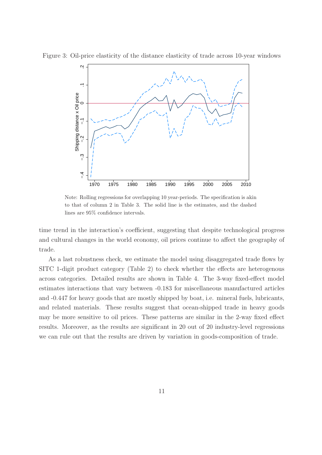

Figure 3: Oil-price elasticity of the distance elasticity of trade across 10-year windows

Note: Rolling regressions for overlapping 10 year-periods. The specification is akin to that of column 2 in Table 3. The solid line is the estimates, and the dashed lines are 95% confidence intervals.

time trend in the interaction's coefficient, suggesting that despite technological progress and cultural changes in the world economy, oil prices continue to affect the geography of trade.

As a last robustness check, we estimate the model using disaggregated trade flows by SITC 1-digit product category (Table 2) to check whether the effects are heterogenous across categories. Detailed results are shown in Table 4. The 3-way fixed-effect model estimates interactions that vary between -0.183 for miscellaneous manufactured articles and -0.447 for heavy goods that are mostly shipped by boat, i.e. mineral fuels, lubricants, and related materials. These results suggest that ocean-shipped trade in heavy goods may be more sensitive to oil prices. These patterns are similar in the 2-way fixed effect results. Moreover, as the results are significant in 20 out of 20 industry-level regressions we can rule out that the results are driven by variation in goods-composition of trade.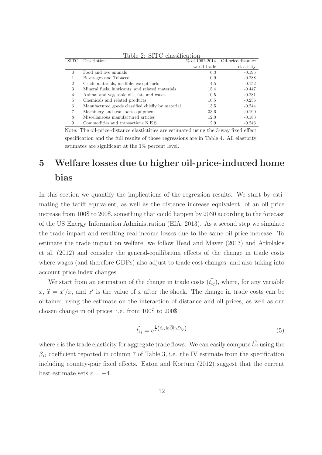| <b>SITC</b>    | Description                                       |             | $\%$ of 1962-2014 Oil-price-distance |
|----------------|---------------------------------------------------|-------------|--------------------------------------|
|                |                                                   | world trade | elasticity                           |
| $\cup$         | Food and live animals                             | 6.3         | $-0.195$                             |
|                | Beverages and Tobacco                             | 0.9         | $-0.288$                             |
| $\overline{2}$ | Crude materials, inedible, except fuels           | 4.5         | $-0.152$                             |
| 3              | Mineral fuels, lubricants, and related materials  | 15.4        | $-0.447$                             |
| 4              | Animal and vegetable oils, fats and waxes         | 0.5         | $-0.281$                             |
| 5              | Chemicals and related products                    | 10.5        | $-0.256$                             |
| 6              | Manufactured goods classified chiefly by material | 13.5        | $-0.244$                             |
|                | Machinery and transport equipment                 | 33.6        | $-0.190$                             |
| 8              | Miscellaneous manufactured articles               | 12.0        | $-0.183$                             |
| 9              | Commodities and transactions N.E.S.               | 2.9         | $-0.243$                             |

Table 2: SITC classification

Note: The oil-price-distance elastictities are estimated using the 3-way fixed effect specification and the full results of those regressions are in Table 4. All elasticity estimates are significant at the 1% percent level.

# 5 Welfare losses due to higher oil-price-induced home bias

In this section we quantify the implications of the regression results. We start by estimating the tariff equivalent, as well as the distance increase equivalent, of an oil price increase from 100\$ to 200\$, something that could happen by 2030 according to the forecast of the US Energy Information Administration (EIA, 2013). As a second step we simulate the trade impact and resulting real-income losses due to the same oil price increase. To estimate the trade impact on welfare, we follow Head and Mayer (2013) and Arkolakis et al. (2012) and consider the general-equilibrium effects of the change in trade costs where wages (and therefore GDPs) also adjust to trade cost changes, and also taking into account price index changes.

We start from an estimation of the change in trade costs  $(\widehat{t}_{ij})$ , where, for any variable  $x, \hat{x} = x'/x$ , and  $x'$  is the value of x after the shock. The change in trade costs can be obtained using the estimate on the interaction of distance and oil prices, as well as our chosen change in oil prices, i.e. from 100\$ to 200\$:

$$
\hat{t_{ij}} = e^{\frac{1}{\epsilon} \left(\beta_O \ln \hat{O} \ln D_{ij}\right)}\tag{5}
$$

where  $\epsilon$  is the trade elasticity for aggregate trade flows. We can easily compute  $\hat{t}_{ij}$  using the  $\beta_D$  coefficient reported in column 7 of Table 3, i.e. the IV estimate from the specification including country-pair fixed effects. Eaton and Kortum (2012) suggest that the current best estimate sets  $\epsilon = -4$ .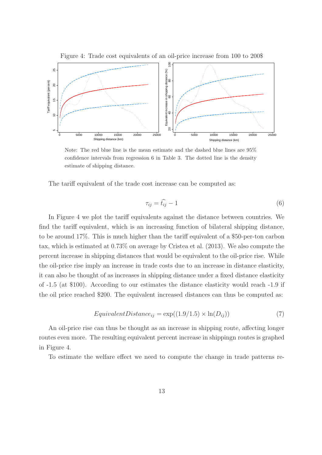

Figure 4: Trade cost equivalents of an oil-price increase from 100 to 200\$

Note: The red blue line is the mean estimate and the dashed blue lines are 95% confidence intervals from regression 6 in Table 3. The dotted line is the density estimate of shipping distance.

The tariff equivalent of the trade cost increase can be computed as:

$$
\tau_{ij} = \hat{t}_{ij} - 1 \tag{6}
$$

In Figure 4 we plot the tariff equivalents against the distance between countries. We find the tariff equivalent, which is an increasing function of bilateral shipping distance, to be around 17%. This is much higher than the tariff equivalent of a \$50-per-ton carbon tax, which is estimated at 0.73% on average by Cristea et al. (2013). We also compute the percent increase in shipping distances that would be equivalent to the oil-price rise. While the oil-price rise imply an increase in trade costs due to an increase in distance elasticity, it can also be thought of as increases in shipping distance under a fixed distance elasticity of -1.5 (at \$100). According to our estimates the distance elasticity would reach -1.9 if the oil price reached \$200. The equivalent increased distances can thus be computed as:

$$
Equivalent Distance_{ij} = \exp((1.9/1.5) \times \ln(D_{ij}))
$$
\n(7)

An oil-price rise can thus be thought as an increase in shipping route, affecting longer routes even more. The resulting equivalent percent increase in shippingn routes is graphed in Figure 4.

To estimate the welfare effect we need to compute the change in trade patterns re-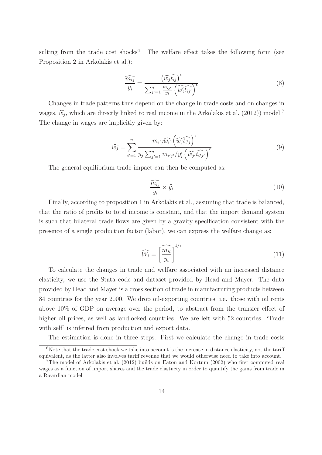sulting from the trade cost shocks<sup>6</sup>. The welfare effect takes the following form (see Proposition 2 in Arkolakis et al.):

$$
\frac{\widehat{m_{ij}}}{y_i} = \frac{\left(\widehat{w_j}\widehat{t_{ij}}\right)^{\epsilon}}{\sum_{j'=1}^n \frac{m_{ij'}}{y_i} \left(\widehat{w'_j}\widehat{t_{ij'}}\right)^{\epsilon}}
$$
(8)

Changes in trade patterns thus depend on the change in trade costs and on changes in wages,  $\widehat{w_j}$ , which are directly linked to real income in the Arkolakis et al. (2012)) model.<sup>7</sup> The change in wages are implicitly given by:

$$
\widehat{w_j} = \sum_{i'=1}^n \frac{m_{i'j}\widehat{w_{i'}} \left(\widehat{w_j}\widehat{t_{i'j}}\right)^{\epsilon}}{y_j \sum_{j'=1}^n m_{i'j'}/y_i' \left(\widehat{w_{j'}}\widehat{t_{i'j'}}\right)^{\epsilon}}
$$
(9)

The general equilibrium trade impact can then be computed as:

$$
\frac{\widehat{m_{ij}}}{y_i} \times \widehat{y_i} \tag{10}
$$

Finally, according to proposition 1 in Arkolakis et al., assuming that trade is balanced, that the ratio of profits to total income is constant, and that the import demand system is such that bilateral trade flows are given by a gravity specification consistent with the presence of a single production factor (labor), we can express the welfare change as:

$$
\widehat{W}_i = \left[\frac{\widehat{m_{ii}}}{y_i}\right]^{1/\epsilon} \tag{11}
$$

To calculate the changes in trade and welfare associated with an increased distance elasticity, we use the Stata code and dataset provided by Head and Mayer. The data provided by Head and Mayer is a cross section of trade in manufacturing products between 84 countries for the year 2000. We drop oil-exporting countries, i.e. those with oil rents above 10% of GDP on average over the period, to abstract from the transfer effect of higher oil prices, as well as landlocked countries. We are left with 52 countries. 'Trade with self' is inferred from production and export data.

The estimation is done in three steps. First we calculate the change in trade costs

 $6$ Note that the trade cost shock we take into account is the increase in distance elasticity, not the tariff equivalent, as the latter also involves tariff revenue that we would otherwise need to take into account.

<sup>7</sup>The model of Arkolakis et al. (2012) builds on Eaton and Kortum (2002) who first computed real wages as a function of import shares and the trade elastiicty in order to quantify the gains from trade in a Ricardian model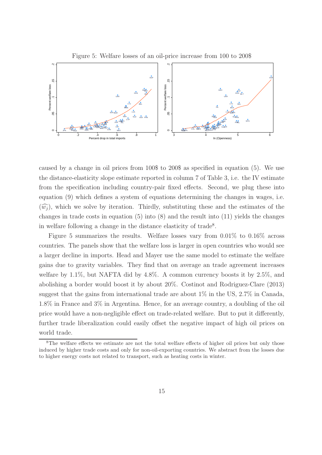

caused by a change in oil prices from 100\$ to 200\$ as specified in equation (5). We use the distance-elasticity slope estimate reported in column 7 of Table 3, i.e. the IV estimate from the specification including country-pair fixed effects. Second, we plug these into equation (9) which defines a system of equations determining the changes in wages, i.e.  $(\widehat{w_i})$ , which we solve by iteration. Thirdly, substituting these and the estimates of the changes in trade costs in equation  $(5)$  into  $(8)$  and the result into  $(11)$  yields the changes in welfare following a change in the distance elasticity of trade<sup>8</sup> .

Figure 5 summarizes the results. Welfare losses vary from 0.01% to 0.16% across countries. The panels show that the welfare loss is larger in open countries who would see a larger decline in imports. Head and Mayer use the same model to estimate the welfare gains due to gravity variables. They find that on average an trade agreement increases welfare by 1.1%, but NAFTA did by 4.8%. A common currency boosts it by 2.5%, and abolishing a border would boost it by about 20%. Costinot and Rodriguez-Clare (2013) suggest that the gains from international trade are about  $1\%$  in the US,  $2.7\%$  in Canada, 1.8% in France and 3% in Argentina. Hence, for an average country, a doubling of the oil price would have a non-negligible effect on trade-related welfare. But to put it differently, further trade liberalization could easily offset the negative impact of high oil prices on world trade.

<sup>&</sup>lt;sup>8</sup>The welfare effects we estimate are not the total welfare effects of higher oil prices but only those induced by higher trade costs and only for non-oil-exporting countries. We abstract from the losses due to higher energy costs not related to transport, such as heating costs in winter.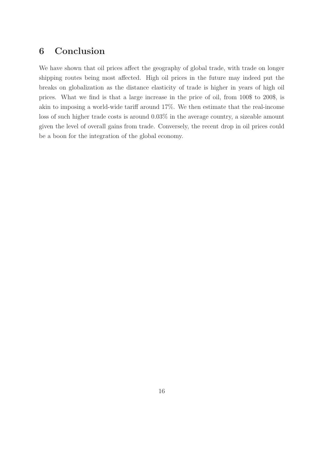# 6 Conclusion

We have shown that oil prices affect the geography of global trade, with trade on longer shipping routes being most affected. High oil prices in the future may indeed put the breaks on globalization as the distance elasticity of trade is higher in years of high oil prices. What we find is that a large increase in the price of oil, from 100\$ to 200\$, is akin to imposing a world-wide tariff around 17%. We then estimate that the real-income loss of such higher trade costs is around 0.03% in the average country, a sizeable amount given the level of overall gains from trade. Conversely, the recent drop in oil prices could be a boon for the integration of the global economy.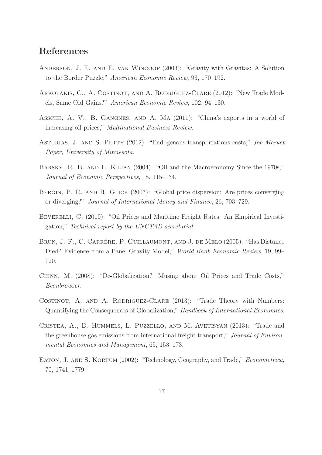## References

- Anderson, J. E. and E. van Wincoop (2003): "Gravity with Gravitas: A Solution to the Border Puzzle," American Economic Review, 93, 170–192.
- ARKOLAKIS, C., A. COSTINOT, AND A. RODRIGUEZ-CLARE (2012): "New Trade Models, Same Old Gains?" American Economic Review, 102, 94–130.
- Assche, A. V., B. Gangnes, and A. Ma (2011): "China's exports in a world of increasing oil prices," Multinational Business Review.
- ASTURIAS, J. AND S. PETTY (2012): "Endogenous transportations costs," Job Market Paper, University of Minnesota.
- Barsky, R. B. and L. Kilian (2004): "Oil and the Macroeconomy Since the 1970s," Journal of Economic Perspectives, 18, 115–134.
- BERGIN, P. R. AND R. GLICK (2007): "Global price dispersion: Are prices converging or diverging?" Journal of International Money and Finance, 26, 703–729.
- BEVERELLI, C. (2010): "Oil Prices and Maritime Freight Rates: An Empirical Investigation," Technical report by the UNCTAD secretariat.
- BRUN, J.-F., C. CARRÈRE, P. GUILLAUMONT, AND J. DE MELO (2005): "Has Distance Died? Evidence from a Panel Gravity Model," World Bank Economic Review, 19, 99– 120.
- Chinn, M. (2008): "De-Globalization? Musing about Oil Prices and Trade Costs," Econbrowser.
- COSTINOT, A. AND A. RODRIGUEZ-CLARE (2013): "Trade Theory with Numbers: Quantifying the Consequences of Globalization," Handbook of International Economics.
- Cristea, A., D. Hummels, L. Puzzello, and M. Avetisyan (2013): "Trade and the greenhouse gas emissions from international freight transport," Journal of Environmental Economics and Management, 65, 153–173.
- EATON, J. AND S. KORTUM (2002): "Technology, Geography, and Trade," Econometrica, 70, 1741–1779.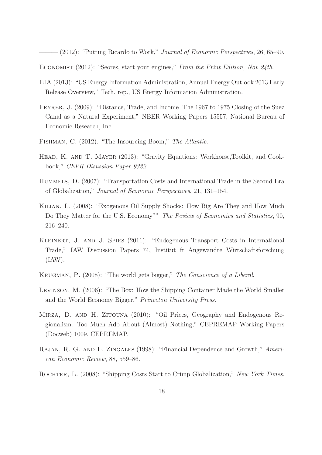$(2012)$ : "Putting Ricardo to Work," Journal of Economic Perspectives, 26, 65–90.

ECONOMIST (2012): "Seores, start your engines," From the Print Edition, Nov 24th.

- EIA (2013): "US Energy Information Administration, Annual Energy Outlook 2013 Early Release Overview," Tech. rep., US Energy Information Administration.
- Feyrer, J. (2009): "Distance, Trade, and Income The 1967 to 1975 Closing of the Suez Canal as a Natural Experiment," NBER Working Papers 15557, National Bureau of Economic Research, Inc.
- Fishman, C. (2012): "The Insourcing Boom," The Atlantic.
- HEAD, K. AND T. MAYER (2013): "Gravity Equations: Workhorse, Toolkit, and Cookbook," CEPR Disussion Paper 9322.
- Hummels, D. (2007): "Transportation Costs and International Trade in the Second Era of Globalization," Journal of Economic Perspectives, 21, 131–154.
- Kilian, L. (2008): "Exogenous Oil Supply Shocks: How Big Are They and How Much Do They Matter for the U.S. Economy?" The Review of Economics and Statistics, 90, 216–240.
- Kleinert, J. and J. Spies (2011): "Endogenous Transport Costs in International Trade," IAW Discussion Papers 74, Institut fr Angewandte Wirtschaftsforschung (IAW).
- Krugman, P. (2008): "The world gets bigger," The Conscience of a Liberal.
- Levinson, M. (2006): "The Box: How the Shipping Container Made the World Smaller and the World Economy Bigger," Princeton University Press.
- Mirza, D. and H. Zitouna (2010): "Oil Prices, Geography and Endogenous Regionalism: Too Much Ado About (Almost) Nothing," CEPREMAP Working Papers (Docweb) 1009, CEPREMAP.
- RAJAN, R. G. AND L. ZINGALES (1998): "Financial Dependence and Growth," American Economic Review, 88, 559–86.
- ROCHTER, L. (2008): "Shipping Costs Start to Crimp Globalization," New York Times.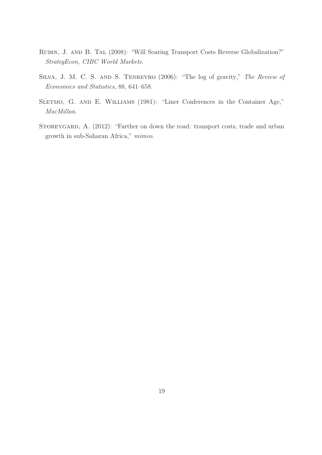- Rubin, J. and B. Tal (2008): "Will Soaring Transport Costs Reverse Globalization?" StrategEcon, CIBC World Markets.
- Silva, J. M. C. S. and S. Tenreyro (2006): "The log of gravity," The Review of Economics and Statistics, 88, 641–658.
- SLETMO, G. AND E. WILLIAMS (1981): "Liner Conferences in the Container Age," MacMillan.
- STOREYGARD, A. (2012): "Farther on down the road: transport costs, trade and urban growth in sub-Saharan Africa," mimeo.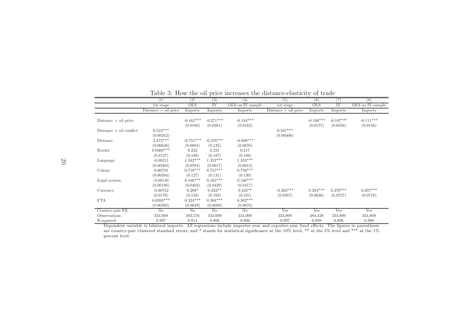|                                |                             | (2)              | $\overline{3}$     | (4)              | (5)                         | (6)              | (7)         | (8)              |  |
|--------------------------------|-----------------------------|------------------|--------------------|------------------|-----------------------------|------------------|-------------|------------------|--|
|                                | 1st stage                   | <b>OLS</b>       |                    | OLS on IV sample | 1st stage                   | <b>OLS</b><br>IV |             | OLS on IV sample |  |
|                                | Distance $\times$ oil price | Imports          | Imports            | Imports          | Distance $\times$ oil price | Imports          | Imports     | Imports          |  |
|                                |                             | $-0.165***$      | $-0.271***$        | $-0.184***$      |                             | $-0.106***$      | $-0.187***$ | $-0.111***$      |  |
| Distance $\times$ oil price    |                             |                  |                    |                  |                             |                  |             |                  |  |
| Distance $\times$ oil conflict | $0.523***$                  | (0.0160)         | (0.0381)           | (0.0163)         | $0.501***$                  | (0.0157)         | (0.0356)    | (0.0156)         |  |
|                                |                             |                  |                    |                  |                             |                  |             |                  |  |
|                                | (0.00352)                   |                  |                    |                  | (0.00406)                   |                  |             |                  |  |
| Distance                       | $2.875***$                  | $-0.751***$      | $-0.376***$        | $-0.690***$      |                             |                  |             |                  |  |
|                                | (0.00646)                   | (0.0694)         | (0.135)            | (0.0676)         |                             |                  |             |                  |  |
| Border                         | $0.0369***$                 | 0.232            | 0.221              | 0.217            |                             |                  |             |                  |  |
|                                | (0.0137)                    | (0.180)          | (0.187)            | (0.186)          |                             |                  |             |                  |  |
| Language                       | $-0.00211$                  | $1.342***$       | $1.352***$         | $1.353***$       |                             |                  |             |                  |  |
|                                | (0.00304)                   | (0.0594)         | (0.0617)           | (0.0613)         |                             |                  |             |                  |  |
| Colony                         | 0.00759                     | $0.719***$       | $0.757***$         | $0.756***$       |                             |                  |             |                  |  |
|                                | (0.00594)                   | (0.127)          | (0.131)            | (0.130)          |                             |                  |             |                  |  |
| Legal system                   | $-0.00140$                  | $0.166***$       | $0.165***$         | $0.166***$       |                             |                  |             |                  |  |
|                                | (0.00196)                   | (0.0403)         | (0.0420)           | (0.0417)         |                             |                  |             |                  |  |
| Currency                       | $-0.00752$                  | $0.288*$         | $0.433**$          | $0.432**$        | $-0.363***$                 | $0.204***$       | $0.270***$  | $0.297***$       |  |
|                                | (0.0179)                    | (0.158)          | (0.193)            | (0.191)          | (0.0357)                    | (0.0636)         | (0.0727)    | (0.0719)         |  |
| <b>FTA</b>                     | $0.0203***$                 | $0.324***$       | $0.304***$         | $0.302***$       |                             |                  |             |                  |  |
|                                | (0.00383)                   | (0.0649)         | (0.0680)           | (0.0676)         |                             |                  |             |                  |  |
| Country-pair FE                | $\overline{\text{No}}$      | $\overline{N_0}$ | $\overline{N_{O}}$ | N <sub>o</sub>   | Yes                         | Yes              | Yes         | Yes              |  |
| Observations                   | 334,009                     | 383,576          | 334,009            | 334,009          | 334,809                     | 384,428          | 334,809     | 334,809          |  |
| R-squared                      | 0.997                       | 0.814            | 0.806              | 0.806            | 0.997                       | 0.898            | 0.898       | 0.898            |  |

Table 3: How the oil price increases the distance-elasticity of trade

Dependent variable is bilateral imports. All regressions include importer-year and exporter-year fixed effects. The figures in parenthesis are country-pair clustered standard errors, and \* stands for statistical significance at the 10% level, \*\* at the 5% level and \*\*\* at the 1%percent level.